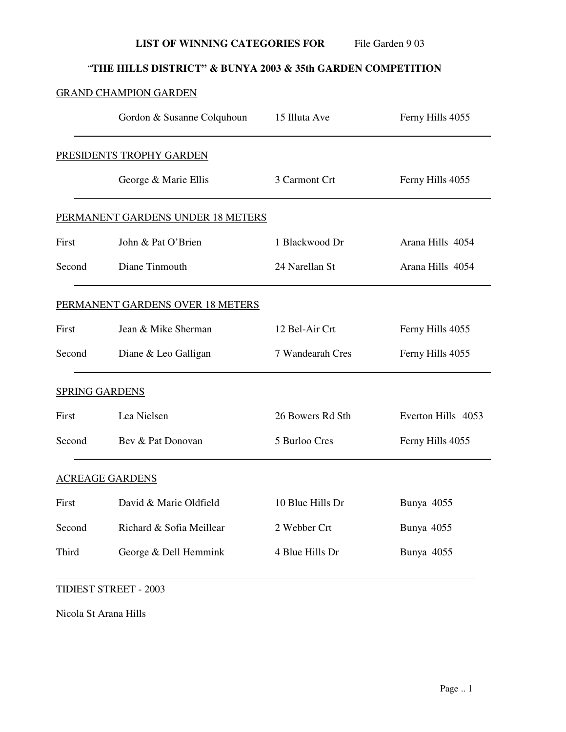**LIST OF WINNING CATEGORIES FOR** File Garden 9 03

# "**THE HILLS DISTRICT" & BUNYA 2003 & 35th GARDEN COMPETITION**

## GRAND CHAMPION GARDEN

|                                  | Gordon & Susanne Colquhoun        | 15 Illuta Ave    | Ferny Hills 4055   |  |
|----------------------------------|-----------------------------------|------------------|--------------------|--|
|                                  | PRESIDENTS TROPHY GARDEN          |                  |                    |  |
|                                  | George & Marie Ellis              | 3 Carmont Crt    | Ferny Hills 4055   |  |
|                                  | PERMANENT GARDENS UNDER 18 METERS |                  |                    |  |
| First                            | John & Pat O'Brien                | 1 Blackwood Dr   | Arana Hills 4054   |  |
| Second                           | Diane Tinmouth                    | 24 Narellan St   | Arana Hills 4054   |  |
| PERMANENT GARDENS OVER 18 METERS |                                   |                  |                    |  |
| First                            | Jean & Mike Sherman               | 12 Bel-Air Crt   | Ferny Hills 4055   |  |
| Second                           | Diane & Leo Galligan              | 7 Wandearah Cres | Ferny Hills 4055   |  |
| <b>SPRING GARDENS</b>            |                                   |                  |                    |  |
| First                            | Lea Nielsen                       | 26 Bowers Rd Sth | Everton Hills 4053 |  |
| Second                           | Bev & Pat Donovan                 | 5 Burloo Cres    | Ferny Hills 4055   |  |
| <b>ACREAGE GARDENS</b>           |                                   |                  |                    |  |
| First                            | David & Marie Oldfield            | 10 Blue Hills Dr | Bunya 4055         |  |
| Second                           | Richard & Sofia Meillear          | 2 Webber Crt     | Bunya 4055         |  |
| Third                            | George & Dell Hemmink             | 4 Blue Hills Dr  | Bunya 4055         |  |

### TIDIEST STREET - 2003

Nicola St Arana Hills